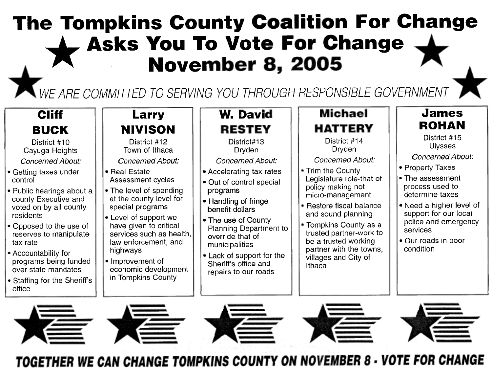# **The Tompkins County Coalition For Change Asks You To Vote For Change<br>
<b>\*** Asks You To Vote For Change<br>
November 8, 2005

WE ARE COMMITTED TO SERVING YOU THROUGH RESPONSIBLE GOVERNMENT

### **Cliff BUCK**

District #10 Cayuga Heights *Concerned About:* 

- Getting taxes under control
- Public hearings about a county Executive and voted on by all county residents
- Opposed to the use of reserves to manipulate tax rate
- programs being funded over state mandates *<sup>0</sup>*Accountability for
- Staffing for the Sheriff's office

#### **Larry NlVlSON**

District #12 Town of lthaca

*Concerned About:* 

- **Real Estate** Assessment cycles
- The level of spending at the county level for special programs
- Level of support we have given to critical services such as health, law enforcement, and highways
- economic development in Tompkins County • Improvement of

## **W. David RESTEY**

District#13 Dryden

- *Concerned About:*
- \* Accelerating tax rates
- Out of control special programs
- Handling of fringe benefit dollars
- The use of County Planning Department to override that of municipalities
- Lack of support for the Sheriff's office and repairs to our roads

**A-**

# **Michael HATTERY**

District #14 Dryden

*Concerned About:* 

- Trim the County Legislature role-that of policy making not micro-management
- Restore fiscal balance and sound planning
- Tompkins County as a trusted partner-work to be a trusted working partner with the towns, villages and City of lthaca

#### **James ROHAN**

District #I5 Ulysses

*Concerned About:* 

- Property Taxes
- The assessment process used to determine taxes
- Need a higher level of support for our local police and emergency services
- condition • Our roads in poor

**A** 



TOGETHER WE CAN CHANGE TOMPKINS COUNTY ON NOVEMBER 8 - VOTE FOR CHANGE